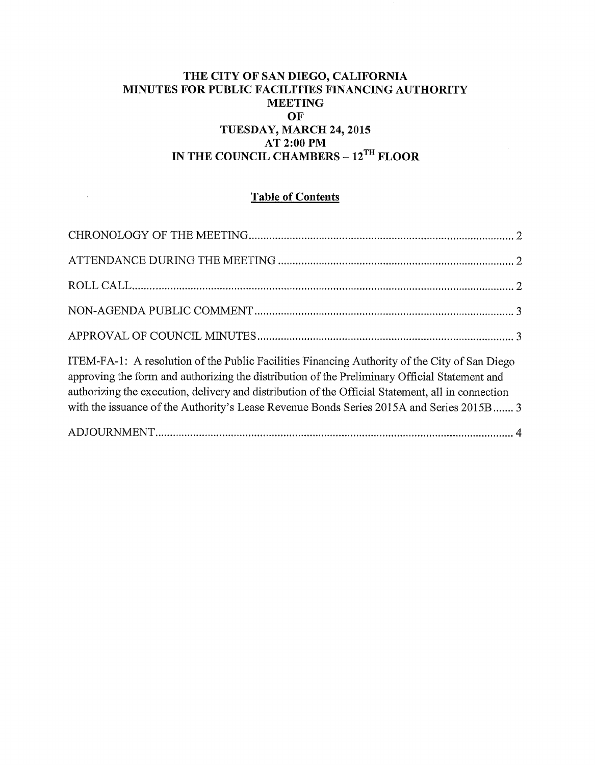## **THE CITY OF SAN DIEGO, CALIFORNIA MINUTES FOR PUBLIC FACILITIES FINANCING AUTHORITY MEETING OF TUESDAY, MARCH 24, 2015 AT 2:00PM**  IN THE COUNCIL CHAMBERS -  $12^{TH}$  FLOOR

# **Table of Contents**

 $\mathcal{A}$ 

| ITEM-FA-1: A resolution of the Public Facilities Financing Authority of the City of San Diego<br>approving the form and authorizing the distribution of the Preliminary Official Statement and<br>authorizing the execution, delivery and distribution of the Official Statement, all in connection<br>with the issuance of the Authority's Lease Revenue Bonds Series 2015A and Series 2015B 3 |  |
|-------------------------------------------------------------------------------------------------------------------------------------------------------------------------------------------------------------------------------------------------------------------------------------------------------------------------------------------------------------------------------------------------|--|
|                                                                                                                                                                                                                                                                                                                                                                                                 |  |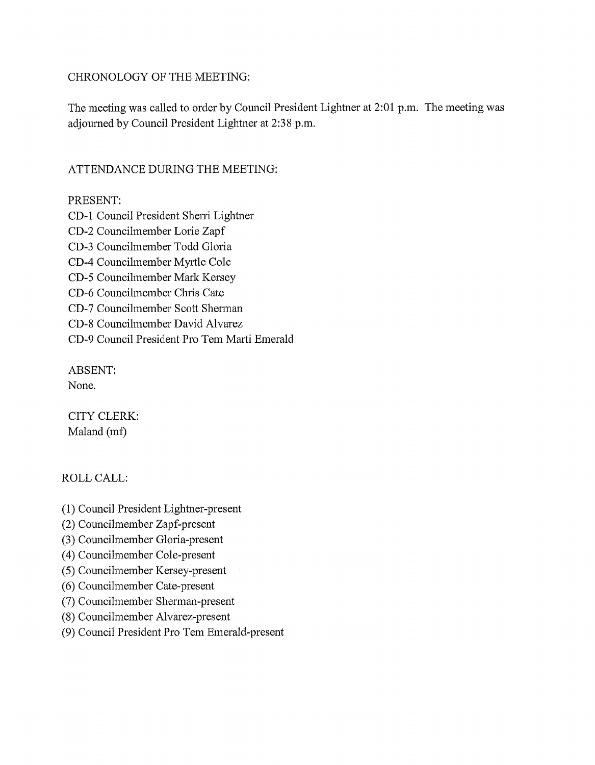### CHRONOLOGY OF THE MEETING:

The meeting was called to order by Council President Lightner at 2:01 p.m. The meeting was adjourned by Council President Lightner at 2:38 p.m.

# ATTENDANCE DURING THE MEETING:

## PRESENT:

CD-1 Council President Sherri Lightner CD-2 Councilmember Lorie Zapf CD-3 Councilmember Todd Gloria CD-4 Councilmember Myrtle Cole CD-5 Councilmember Mark Kersey CD-6 Councilmember Chris Cate CD-7 Councilmember Scott Shennan CD-8 Councilmember David Alvarez CD-9 Council President Pro Tem Marti Emerald

ABSENT: None.

CITY CLERK: Maland (mf)

## ROLLCALL:

- (1) Council President Lightner-present
- (2) Councilmember Zapf-present
- (3) Councilmember Gloria-present
- ( 4) Councilmember Cole-present
- (5) Councilmember Kersey-present
- (6) Councilmember Cate-present
- (7) Councilmember Sherman-present
- (8) Councilmember Alvarez-present
- (9) Council President Pro Tem Emerald-present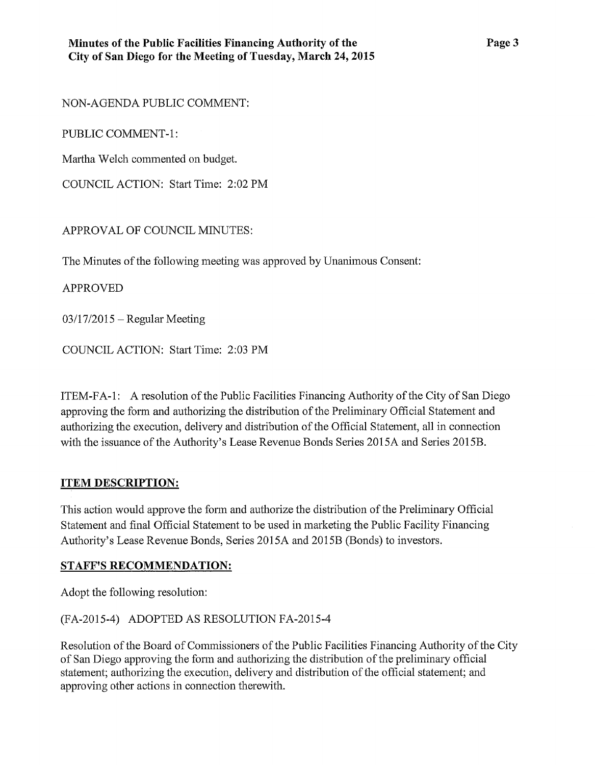NON-AGENDA PUBLIC COMMENT:

PUBLIC COMMENT-1:

Martha Welch commented on budget.

COUNCIL ACTION: Start Time: 2:02PM

APPROVAL OF COUNCIL MINUTES:

The Minutes of the following meeting was approved by Unanimous Consent:

APPROVED

 $03/17/2015$  – Regular Meeting

COUNCIL ACTION: Start Time: 2:03 PM

ITEM-FA-1: A resolution of the Public Facilities Financing Authority of the City of San Diego approving the fonn and authorizing the distribution of the Preliminary Official Statement and authorizing the execution, delivery and distribution of the Official Statement, all in connection with the issuance of the Authority's Lease Revenue Bonds Series 2015A and Series 2015B.

#### **ITEM DESCRIPTION:**

This action would approve the form and authorize the distribution of the Preliminary Official Statement and final Official Statement to be used in marketing the Public Facility Financing Authority's Lease Revenue Bonds, Series 2015A and 2015B (Bonds) to investors.

#### **STAFF'S RECOMMENDATION:**

Adopt the following resolution:

(FA-2015-4) ADOPTED AS RESOLUTION FA-2015-4

Resolution of the Board of Commissioners of the Public Facilities Financing Authority of the City of San Diego approving the fonn and authorizing the distribution of the preliminary official statement; authorizing the execution, delivery and distribution of the official statement; and approving other actions in connection therewith.